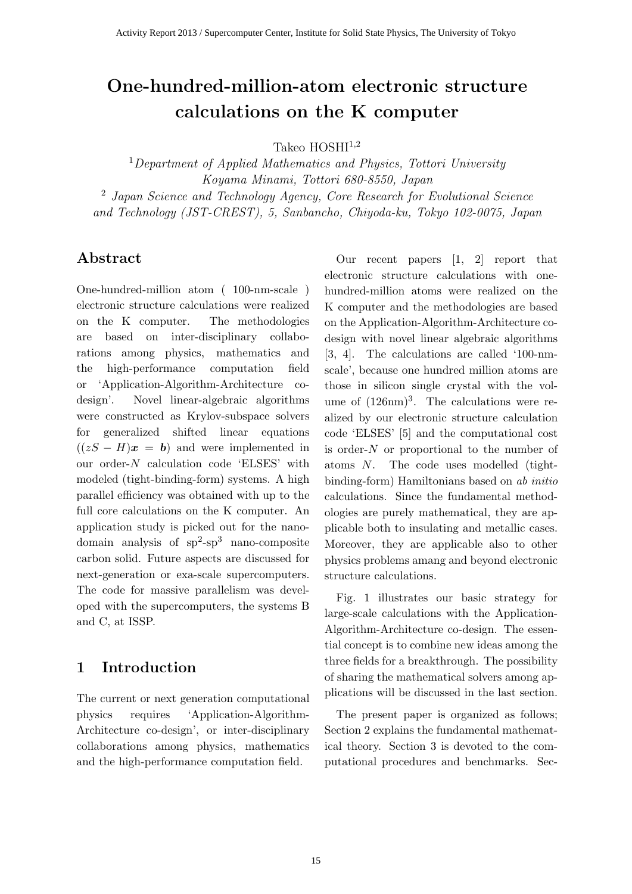# **One-hundred-million-atom electronic structure calculations on the K computer**

Takeo HOSHI<sup>1</sup>*,*<sup>2</sup>

<sup>1</sup>*Department of Applied Mathematics and Physics, Tottori University Koyama Minami, Tottori 680-8550, Japan* <sup>2</sup> *Japan Science and Technology Agency, Core Research for Evolutional Science and Technology (JST-CREST), 5, Sanbancho, Chiyoda-ku, Tokyo 102-0075, Japan*

## **Abstract**

One-hundred-million atom ( 100-nm-scale ) electronic structure calculations were realized on the K computer. The methodologies are based on inter-disciplinary collaborations among physics, mathematics and the high-performance computation field or 'Application-Algorithm-Architecture codesign'. Novel linear-algebraic algorithms were constructed as Krylov-subspace solvers for generalized shifted linear equations  $((zS - H)x = b)$  and were implemented in our order-*N* calculation code 'ELSES' with modeled (tight-binding-form) systems. A high parallel efficiency was obtained with up to the full core calculations on the K computer. An application study is picked out for the nanodomain analysis of  $sp^2$ -sp<sup>3</sup> nano-composite carbon solid. Future aspects are discussed for next-generation or exa-scale supercomputers. The code for massive parallelism was developed with the supercomputers, the systems B and C, at ISSP.

## **1 Introduction**

The current or next generation computational physics requires 'Application-Algorithm-Architecture co-design', or inter-disciplinary collaborations among physics, mathematics and the high-performance computation field.

Our recent papers [1, 2] report that electronic structure calculations with onehundred-million atoms were realized on the K computer and the methodologies are based on the Application-Algorithm-Architecture codesign with novel linear algebraic algorithms [3, 4]. The calculations are called '100-nmscale', because one hundred million atoms are those in silicon single crystal with the volume of  $(126nm)^3$ . The calculations were realized by our electronic structure calculation code 'ELSES' [5] and the computational cost is order-*N* or proportional to the number of atoms *N*. The code uses modelled (tightbinding-form) Hamiltonians based on *ab initio* calculations. Since the fundamental methodologies are purely mathematical, they are applicable both to insulating and metallic cases. Moreover, they are applicable also to other physics problems amang and beyond electronic structure calculations.

Fig. 1 illustrates our basic strategy for large-scale calculations with the Application-Algorithm-Architecture co-design. The essential concept is to combine new ideas among the three fields for a breakthrough. The possibility of sharing the mathematical solvers among applications will be discussed in the last section.

The present paper is organized as follows; Section 2 explains the fundamental mathematical theory. Section 3 is devoted to the computational procedures and benchmarks. Sec-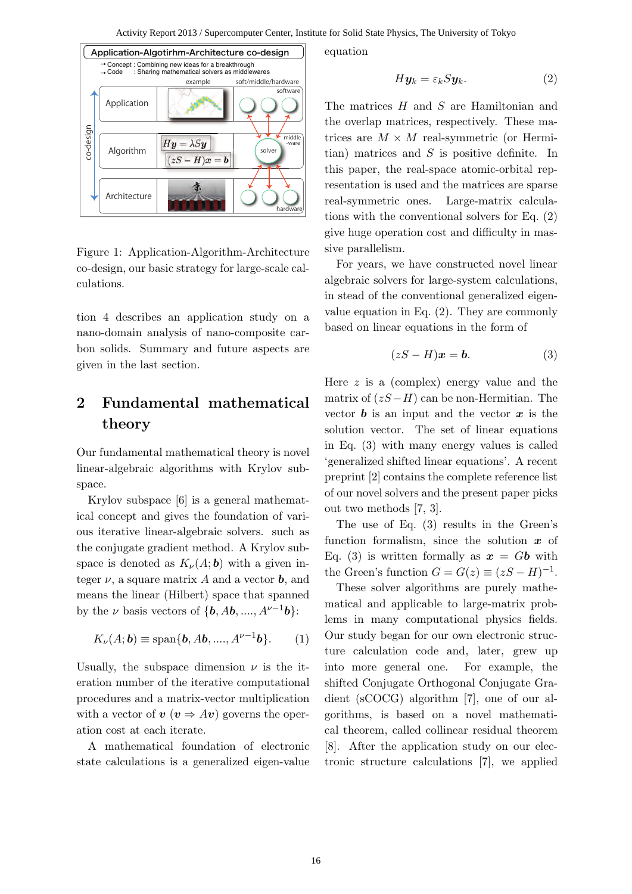

Figure 1: Application-Algorithm-Architecture co-design, our basic strategy for large-scale calculations.

tion 4 describes an application study on a nano-domain analysis of nano-composite carbon solids. Summary and future aspects are given in the last section.

## **2 Fundamental mathematical theory**

Our fundamental mathematical theory is novel linear-algebraic algorithms with Krylov subspace.

Krylov subspace [6] is a general mathematical concept and gives the foundation of various iterative linear-algebraic solvers. such as the conjugate gradient method. A Krylov subspace is denoted as  $K_{\nu}(A; \mathbf{b})$  with a given integer  $\nu$ , a square matrix A and a vector **b**, and means the linear (Hilbert) space that spanned by the *ν* basis vectors of  $\{b, Ab, \ldots, A^{\nu-1}b\}$ :

$$
K_{\nu}(A; \mathbf{b}) \equiv \text{span}\{\mathbf{b}, A\mathbf{b}, \dots, A^{\nu-1}\mathbf{b}\}. \qquad (1)
$$

Usually, the subspace dimension  $\nu$  is the iteration number of the iterative computational procedures and a matrix-vector multiplication with a vector of  $v (v \Rightarrow Av)$  governs the operation cost at each iterate.

A mathematical foundation of electronic state calculations is a generalized eigen-value equation

$$
H\mathbf{y}_k = \varepsilon_k S\mathbf{y}_k. \tag{2}
$$

The matrices *H* and *S* are Hamiltonian and the overlap matrices, respectively. These matrices are  $M \times M$  real-symmetric (or Hermitian) matrices and *S* is positive definite. In this paper, the real-space atomic-orbital representation is used and the matrices are sparse real-symmetric ones. Large-matrix calculations with the conventional solvers for Eq. (2) give huge operation cost and difficulty in massive parallelism.

For years, we have constructed novel linear algebraic solvers for large-system calculations, in stead of the conventional generalized eigenvalue equation in Eq. (2). They are commonly based on linear equations in the form of

$$
(zS - H)\mathbf{x} = \mathbf{b}.\tag{3}
$$

Here *z* is a (complex) energy value and the matrix of (*zS−H*) can be non-Hermitian. The vector  $\boldsymbol{b}$  is an input and the vector  $\boldsymbol{x}$  is the solution vector. The set of linear equations in Eq. (3) with many energy values is called 'generalized shifted linear equations'. A recent preprint [2] contains the complete reference list of our novel solvers and the present paper picks out two methods [7, 3].

The use of Eq. (3) results in the Green's function formalism, since the solution *x* of Eq. (3) is written formally as  $x = Gb$  with the Green's function  $G = G(z) \equiv (zS - H)^{-1}$ .

These solver algorithms are purely mathematical and applicable to large-matrix problems in many computational physics fields. Our study began for our own electronic structure calculation code and, later, grew up into more general one. For example, the shifted Conjugate Orthogonal Conjugate Gradient (sCOCG) algorithm [7], one of our algorithms, is based on a novel mathematical theorem, called collinear residual theorem [8]. After the application study on our electronic structure calculations [7], we applied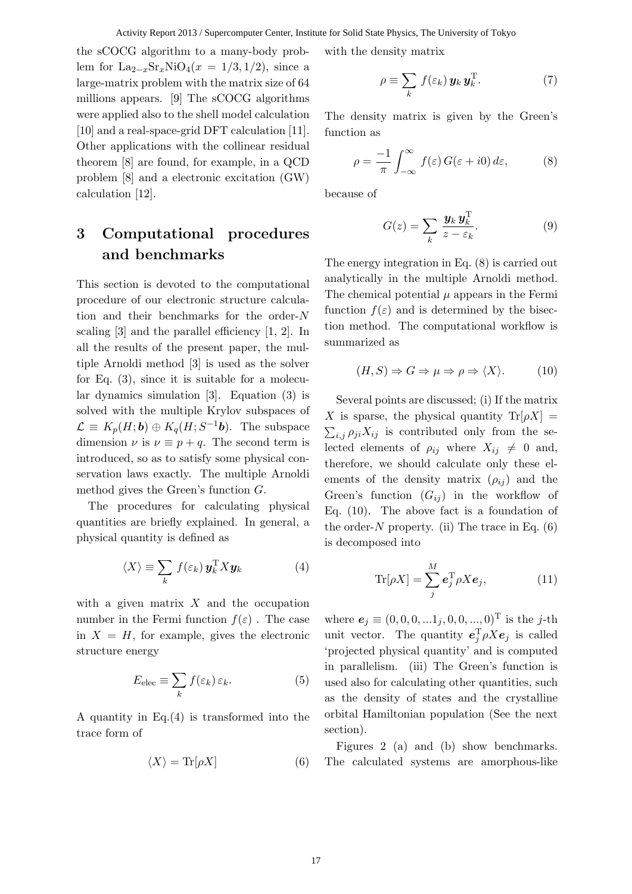#### Activity Report 2013 / Supercomputer Center, Institute for Solid State Physics, The University of Tokyo

the sCOCG algorithm to a many-body problem for  $\text{La}_{2-x}\text{Sr}_x\text{NiO}_4(x = 1/3, 1/2)$ , since a large-matrix problem with the matrix size of 64 millions appears. [9] The sCOCG algorithms were applied also to the shell model calculation [10] and a real-space-grid DFT calculation [11]. Other applications with the collinear residual theorem [8] are found, for example, in a QCD problem [8] and a electronic excitation (GW) calculation [12].

# **3 Computational procedures and benchmarks**

This section is devoted to the computational procedure of our electronic structure calculation and their benchmarks for the order-*N* scaling [3] and the parallel efficiency [1, 2]. In all the results of the present paper, the multiple Arnoldi method [3] is used as the solver for Eq. (3), since it is suitable for a molecular dynamics simulation [3]. Equation (3) is solved with the multiple Krylov subspaces of  $\mathcal{L} \equiv K_p(H; \mathbf{b}) \oplus K_q(H; S^{-1}\mathbf{b})$ . The subspace dimension  $\nu$  is  $\nu \equiv p + q$ . The second term is introduced, so as to satisfy some physical conservation laws exactly. The multiple Arnoldi method gives the Green's function *G*.

The procedures for calculating physical quantities are briefly explained. In general, a physical quantity is defined as

$$
\langle X \rangle \equiv \sum_{k} f(\varepsilon_{k}) \mathbf{y}_{k}^{\mathrm{T}} X \mathbf{y}_{k} \tag{4}
$$

with a given matrix *X* and the occupation number in the Fermi function  $f(\varepsilon)$ . The case in  $X = H$ , for example, gives the electronic structure energy

$$
E_{\text{elec}} \equiv \sum_{k} f(\varepsilon_{k}) \, \varepsilon_{k}.\tag{5}
$$

A quantity in Eq.(4) is transformed into the trace form of

$$
\langle X \rangle = \text{Tr}[\rho X] \tag{6}
$$

with the density matrix

$$
\rho \equiv \sum_{k} f(\varepsilon_{k}) \, \mathbf{y}_{k} \, \mathbf{y}_{k}^{\mathrm{T}}. \tag{7}
$$

The density matrix is given by the Green's function as

$$
\rho = -\frac{1}{\pi} \int_{-\infty}^{\infty} f(\varepsilon) G(\varepsilon + i0) d\varepsilon, \tag{8}
$$

because of

$$
G(z) = \sum_{k} \frac{\mathbf{y}_k \mathbf{y}_k^{\mathrm{T}}}{z - \varepsilon_k}.
$$
 (9)

The energy integration in Eq. (8) is carried out analytically in the multiple Arnoldi method. The chemical potential  $\mu$  appears in the Fermi function  $f(\varepsilon)$  and is determined by the bisection method. The computational workflow is summarized as

$$
(H, S) \Rightarrow G \Rightarrow \mu \Rightarrow \rho \Rightarrow \langle X \rangle. \tag{10}
$$

Several points are discussed; (i) If the matrix *X* is sparse, the physical quantity  $\text{Tr}[\rho X] =$  $\sum_{i,j} \rho_{ji} X_{ij}$  is contributed only from the selected elements of  $\rho_{ij}$  where  $X_{ij} \neq 0$  and, therefore, we should calculate only these elements of the density matrix  $(\rho_{ij})$  and the Green's function  $(G_{ij})$  in the workflow of Eq. (10). The above fact is a foundation of the order- $N$  property. (ii) The trace in Eq. (6) is decomposed into

$$
\text{Tr}[\rho X] = \sum_{j}^{M} \boldsymbol{e}_{j}^{\text{T}} \rho X \boldsymbol{e}_{j}, \qquad (11)
$$

where  $e_j \equiv (0,0,0,...1_j,0,0,...,0)^T$  is the *j*-th unit vector. The quantity  $e_j^T \rho X e_j$  is called 'projected physical quantity' and is computed in parallelism. (iii) The Green's function is used also for calculating other quantities, such as the density of states and the crystalline orbital Hamiltonian population (See the next section).

Figures 2 (a) and (b) show benchmarks. The calculated systems are amorphous-like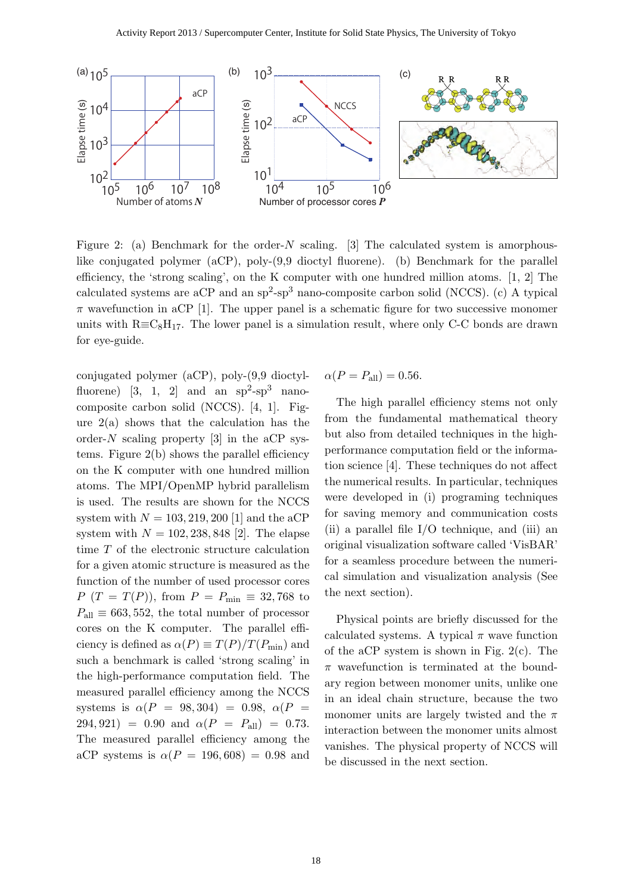

Figure 2: (a) Benchmark for the order-*N* scaling. [3] The calculated system is amorphouslike conjugated polymer (aCP), poly-(9,9 dioctyl fluorene). (b) Benchmark for the parallel efficiency, the 'strong scaling', on the K computer with one hundred million atoms. [1, 2] The calculated systems are aCP and an  $sp^2$ - $sp^3$  nano-composite carbon solid (NCCS). (c) A typical  $\pi$  wavefunction in aCP [1]. The upper panel is a schematic figure for two successive monomer units with  $R \equiv C_8H_{17}$ . The lower panel is a simulation result, where only C-C bonds are drawn for eye-guide.

conjugated polymer (aCP), poly-(9,9 dioctylfluorene) [3, 1, 2] and an  $sp^2$ - $sp^3$  nanocomposite carbon solid (NCCS). [4, 1]. Figure  $2(a)$  shows that the calculation has the order- $N$  scaling property [3] in the aCP systems. Figure 2(b) shows the parallel efficiency on the K computer with one hundred million atoms. The MPI/OpenMP hybrid parallelism is used. The results are shown for the NCCS system with  $N = 103, 219, 200$  [1] and the aCP system with  $N = 102, 238, 848$  [2]. The elapse time *T* of the electronic structure calculation for a given atomic structure is measured as the function of the number of used processor cores *P* (*T* = *T*(*P*)), from  $P = P_{\text{min}} \equiv 32,768$  to  $P_{\text{all}} \equiv 663, 552$ , the total number of processor cores on the K computer. The parallel efficiency is defined as  $\alpha(P) \equiv T(P)/T(P_{\min})$  and such a benchmark is called 'strong scaling' in the high-performance computation field. The measured parallel efficiency among the NCCS systems is  $\alpha(P = 98,304) = 0.98, \ \alpha(P = 1)$  $294,921$  = 0.90 and  $\alpha(P = P_{all})$  = 0.73. The measured parallel efficiency among the aCP systems is  $\alpha(P = 196,608) = 0.98$  and

$$
\alpha(P = P_{\text{all}}) = 0.56.
$$

The high parallel efficiency stems not only from the fundamental mathematical theory but also from detailed techniques in the highperformance computation field or the information science [4]. These techniques do not affect the numerical results. In particular, techniques were developed in (i) programing techniques for saving memory and communication costs (ii) a parallel file I/O technique, and (iii) an original visualization software called 'VisBAR' for a seamless procedure between the numerical simulation and visualization analysis (See the next section).

Physical points are briefly discussed for the calculated systems. A typical  $\pi$  wave function of the aCP system is shown in Fig. 2(c). The *π* wavefunction is terminated at the boundary region between monomer units, unlike one in an ideal chain structure, because the two monomer units are largely twisted and the *π* interaction between the monomer units almost vanishes. The physical property of NCCS will be discussed in the next section.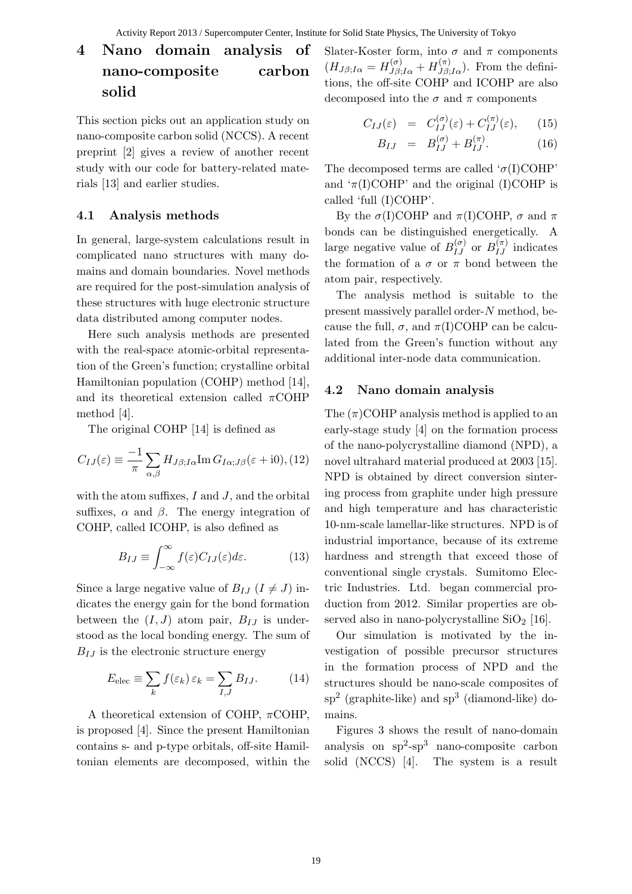# **4 Nano domain analysis of nano-composite carbon solid**

This section picks out an application study on nano-composite carbon solid (NCCS). A recent preprint [2] gives a review of another recent study with our code for battery-related materials [13] and earlier studies.

### **4.1 Analysis methods**

In general, large-system calculations result in complicated nano structures with many domains and domain boundaries. Novel methods are required for the post-simulation analysis of these structures with huge electronic structure data distributed among computer nodes.

Here such analysis methods are presented with the real-space atomic-orbital representation of the Green's function; crystalline orbital Hamiltonian population (COHP) method [14], and its theoretical extension called *π*COHP method [4].

The original COHP [14] is defined as

$$
C_{IJ}(\varepsilon) \equiv \frac{-1}{\pi} \sum_{\alpha,\beta} H_{J\beta;I\alpha} \text{Im} G_{I\alpha;J\beta}(\varepsilon + i0), (12)
$$

with the atom suffixes, *I* and *J*, and the orbital suffixes,  $\alpha$  and  $\beta$ . The energy integration of COHP, called ICOHP, is also defined as

$$
B_{IJ} \equiv \int_{-\infty}^{\infty} f(\varepsilon) C_{IJ}(\varepsilon) d\varepsilon.
$$
 (13)

Since a large negative value of  $B_{IJ}$  ( $I \neq J$ ) indicates the energy gain for the bond formation between the  $(I, J)$  atom pair,  $B_{IJ}$  is understood as the local bonding energy. The sum of  $B_{IJ}$  is the electronic structure energy

$$
E_{\text{elec}} \equiv \sum_{k} f(\varepsilon_{k}) \, \varepsilon_{k} = \sum_{I,J} B_{IJ}.\tag{14}
$$

A theoretical extension of COHP, *π*COHP, is proposed [4]. Since the present Hamiltonian contains s- and p-type orbitals, off-site Hamiltonian elements are decomposed, within the Slater-Koster form, into  $\sigma$  and  $\pi$  components  $(H_{J\beta;I\alpha} = H_{J\beta;I\alpha}^{(\sigma)} + H_{J\beta;I\alpha}^{(\pi)}).$  From the definitions, the off-site COHP and ICOHP are also decomposed into the  $\sigma$  and  $\pi$  components

$$
C_{IJ}(\varepsilon) = C_{IJ}^{(\sigma)}(\varepsilon) + C_{IJ}^{(\pi)}(\varepsilon), \qquad (15)
$$

$$
B_{IJ} = B_{IJ}^{(\sigma)} + B_{IJ}^{(\pi)}.
$$
 (16)

The decomposed terms are called '*σ*(I)COHP' and  $\pi(I)COHP'$  and the original (I)COHP is called 'full (I)COHP'.

By the  $\sigma(I)COHP$  and  $\pi(I)COHP$ ,  $\sigma$  and  $\pi$ bonds can be distinguished energetically. A large negative value of  $B_{IJ}^{(\sigma)}$  or  $B_{IJ}^{(\pi)}$  indicates the formation of a  $\sigma$  or  $\pi$  bond between the atom pair, respectively.

The analysis method is suitable to the present massively parallel order-*N* method, because the full,  $\sigma$ , and  $\pi(I)COHP$  can be calculated from the Green's function without any additional inter-node data communication.

#### **4.2 Nano domain analysis**

The  $(\pi)$ COHP analysis method is applied to an early-stage study [4] on the formation process of the nano-polycrystalline diamond (NPD), a novel ultrahard material produced at 2003 [15]. NPD is obtained by direct conversion sintering process from graphite under high pressure and high temperature and has characteristic 10-nm-scale lamellar-like structures. NPD is of industrial importance, because of its extreme hardness and strength that exceed those of conventional single crystals. Sumitomo Electric Industries. Ltd. began commercial production from 2012. Similar properties are observed also in nano-polycrystalline  $SiO<sub>2</sub>$  [16].

Our simulation is motivated by the investigation of possible precursor structures in the formation process of NPD and the structures should be nano-scale composites of  $sp<sup>2</sup>$  (graphite-like) and  $sp<sup>3</sup>$  (diamond-like) domains.

Figures 3 shows the result of nano-domain analysis on  $sp^2$ -sp<sup>3</sup> nano-composite carbon solid (NCCS) [4]. The system is a result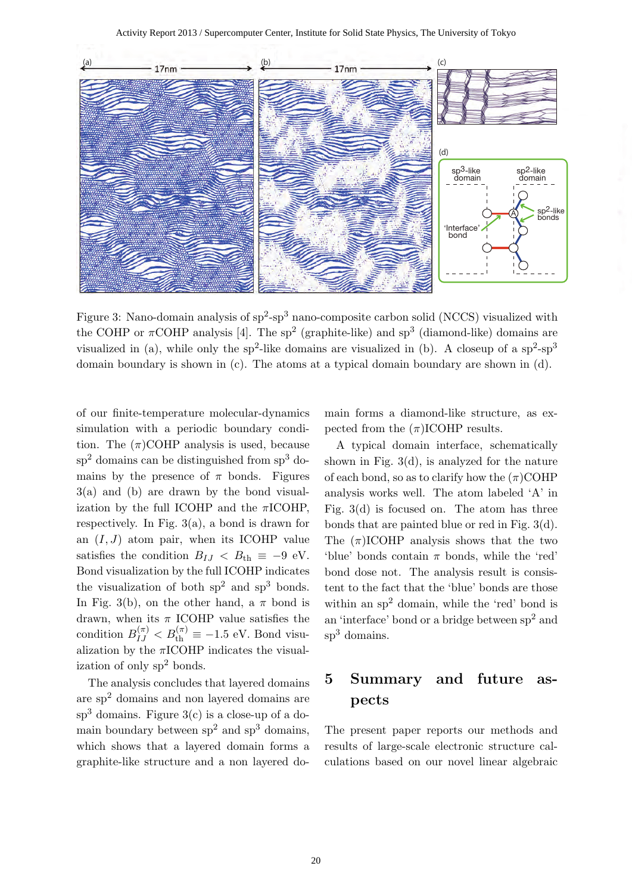

Figure 3: Nano-domain analysis of  $sp^2$ - $sp^3$  nano-composite carbon solid (NCCS) visualized with the COHP or  $\pi$ COHP analysis [4]. The sp<sup>2</sup> (graphite-like) and sp<sup>3</sup> (diamond-like) domains are visualized in (a), while only the sp<sup>2</sup>-like domains are visualized in (b). A closeup of a sp<sup>2</sup>-sp<sup>3</sup> domain boundary is shown in (c). The atoms at a typical domain boundary are shown in (d).

of our finite-temperature molecular-dynamics simulation with a periodic boundary condition. The  $(\pi)$ COHP analysis is used, because  $sp<sup>2</sup>$  domains can be distinguished from  $sp<sup>3</sup>$  domains by the presence of  $\pi$  bonds. Figures 3(a) and (b) are drawn by the bond visualization by the full ICOHP and the *π*ICOHP, respectively. In Fig. 3(a), a bond is drawn for an  $(I, J)$  atom pair, when its ICOHP value satisfies the condition  $B_{IJ} < B_{th} \equiv -9$  eV. Bond visualization by the full ICOHP indicates the visualization of both  $sp<sup>2</sup>$  and  $sp<sup>3</sup>$  bonds. In Fig. 3(b), on the other hand, a  $\pi$  bond is drawn, when its *π* ICOHP value satisfies the condition  $B_{IJ}^{(\pi)} < B_{\text{th}}^{(\pi)} \equiv -1.5 \text{ eV}$ . Bond visualization by the *π*ICOHP indicates the visualization of only  $sp<sup>2</sup>$  bonds.

The analysis concludes that layered domains are sp<sup>2</sup> domains and non layered domains are  $sp<sup>3</sup>$  domains. Figure  $3(c)$  is a close-up of a domain boundary between  $sp<sup>2</sup>$  and  $sp<sup>3</sup>$  domains, which shows that a layered domain forms a graphite-like structure and a non layered domain forms a diamond-like structure, as expected from the  $(\pi)$ ICOHP results.

A typical domain interface, schematically shown in Fig.  $3(d)$ , is analyzed for the nature of each bond, so as to clarify how the  $(\pi)$ COHP analysis works well. The atom labeled 'A' in Fig. 3(d) is focused on. The atom has three bonds that are painted blue or red in Fig. 3(d). The  $(\pi)$ ICOHP analysis shows that the two 'blue' bonds contain *π* bonds, while the 'red' bond dose not. The analysis result is consistent to the fact that the 'blue' bonds are those within an  $sp<sup>2</sup>$  domain, while the 'red' bond is an 'interface' bond or a bridge between sp<sup>2</sup> and sp<sup>3</sup> domains.

## **5 Summary and future aspects**

The present paper reports our methods and results of large-scale electronic structure calculations based on our novel linear algebraic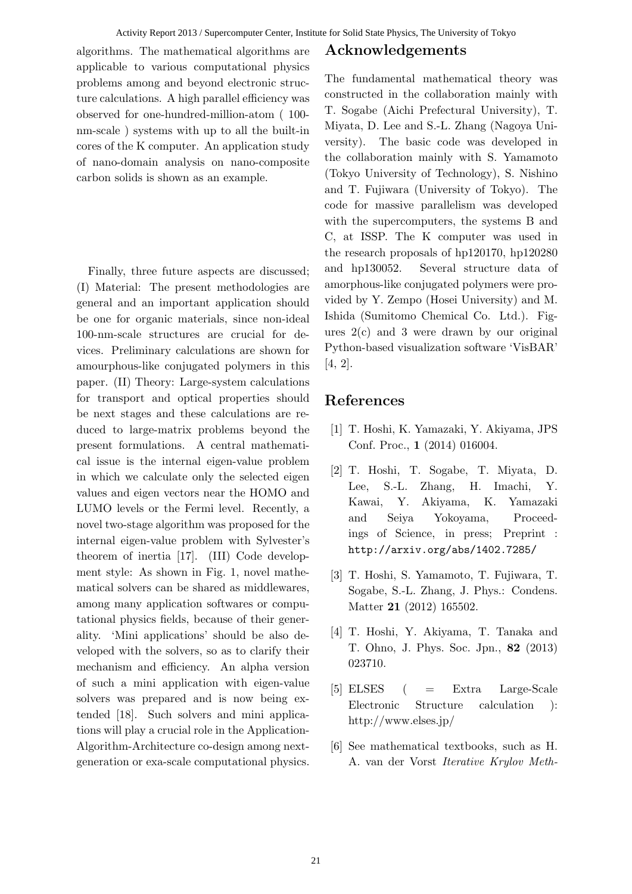algorithms. The mathematical algorithms are applicable to various computational physics problems among and beyond electronic structure calculations. A high parallel efficiency was observed for one-hundred-million-atom ( 100 nm-scale ) systems with up to all the built-in cores of the K computer. An application study of nano-domain analysis on nano-composite carbon solids is shown as an example.

Finally, three future aspects are discussed; (I) Material: The present methodologies are general and an important application should be one for organic materials, since non-ideal 100-nm-scale structures are crucial for devices. Preliminary calculations are shown for amourphous-like conjugated polymers in this paper. (II) Theory: Large-system calculations for transport and optical properties should be next stages and these calculations are reduced to large-matrix problems beyond the present formulations. A central mathematical issue is the internal eigen-value problem in which we calculate only the selected eigen values and eigen vectors near the HOMO and LUMO levels or the Fermi level. Recently, a novel two-stage algorithm was proposed for the internal eigen-value problem with Sylvester's theorem of inertia [17]. (III) Code development style: As shown in Fig. 1, novel mathematical solvers can be shared as middlewares, among many application softwares or computational physics fields, because of their generality. 'Mini applications' should be also developed with the solvers, so as to clarify their mechanism and efficiency. An alpha version of such a mini application with eigen-value solvers was prepared and is now being extended [18]. Such solvers and mini applications will play a crucial role in the Application-Algorithm-Architecture co-design among nextgeneration or exa-scale computational physics.

### **Acknowledgements**

The fundamental mathematical theory was constructed in the collaboration mainly with T. Sogabe (Aichi Prefectural University), T. Miyata, D. Lee and S.-L. Zhang (Nagoya University). The basic code was developed in the collaboration mainly with S. Yamamoto (Tokyo University of Technology), S. Nishino and T. Fujiwara (University of Tokyo). The code for massive parallelism was developed with the supercomputers, the systems B and C, at ISSP. The K computer was used in the research proposals of hp120170, hp120280 and hp130052. Several structure data of amorphous-like conjugated polymers were provided by Y. Zempo (Hosei University) and M. Ishida (Sumitomo Chemical Co. Ltd.). Figures 2(c) and 3 were drawn by our original Python-based visualization software 'VisBAR' [4, 2].

### **References**

- [1] T. Hoshi, K. Yamazaki, Y. Akiyama, JPS Conf. Proc., **1** (2014) 016004.
- [2] T. Hoshi, T. Sogabe, T. Miyata, D. Lee, S.-L. Zhang, H. Imachi, Y. Kawai, Y. Akiyama, K. Yamazaki and Seiya Yokoyama, Proceedings of Science, in press; Preprint : http://arxiv.org/abs/1402.7285/
- [3] T. Hoshi, S. Yamamoto, T. Fujiwara, T. Sogabe, S.-L. Zhang, J. Phys.: Condens. Matter **21** (2012) 165502.
- [4] T. Hoshi, Y. Akiyama, T. Tanaka and T. Ohno, J. Phys. Soc. Jpn., **82** (2013) 023710.
- [5] ELSES ( = Extra Large-Scale Electronic Structure calculation ): http://www.elses.jp/
- [6] See mathematical textbooks, such as H. A. van der Vorst *Iterative Krylov Meth-*